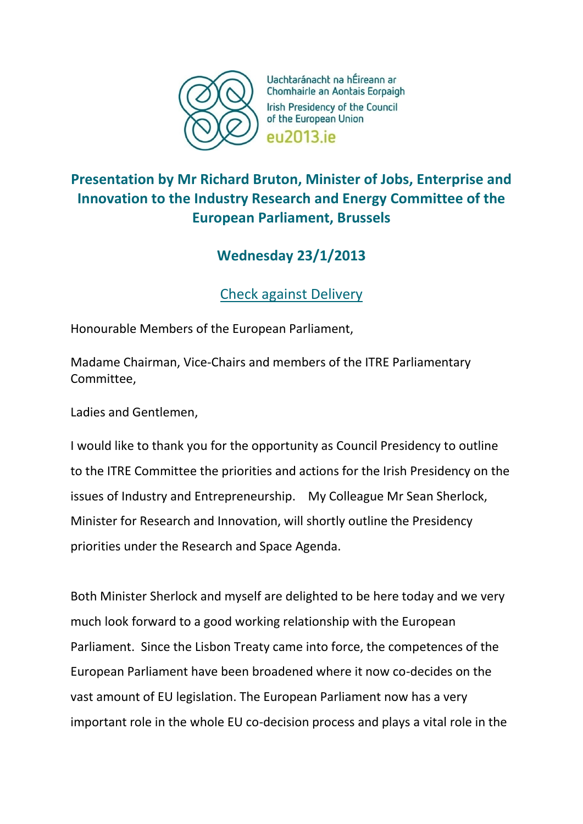

Uachtaránacht na hÉireann ar Chomhairle an Aontais Eorpaigh Irish Presidency of the Council of the European Union **PU2013** iP

## **Presentation by Mr Richard Bruton, Minister of Jobs, Enterprise and Innovation to the Industry Research and Energy Committee of the European Parliament, Brussels**

## **Wednesday 23/1/2013**

Check against Delivery

Honourable Members of the European Parliament,

Madame Chairman, Vice-Chairs and members of the ITRE Parliamentary Committee,

Ladies and Gentlemen,

I would like to thank you for the opportunity as Council Presidency to outline to the ITRE Committee the priorities and actions for the Irish Presidency on the issues of Industry and Entrepreneurship. My Colleague Mr Sean Sherlock, Minister for Research and Innovation, will shortly outline the Presidency priorities under the Research and Space Agenda.

Both Minister Sherlock and myself are delighted to be here today and we very much look forward to a good working relationship with the European Parliament. Since the Lisbon Treaty came into force, the competences of the European Parliament have been broadened where it now co-decides on the vast amount of EU legislation. The European Parliament now has a very important role in the whole EU co-decision process and plays a vital role in the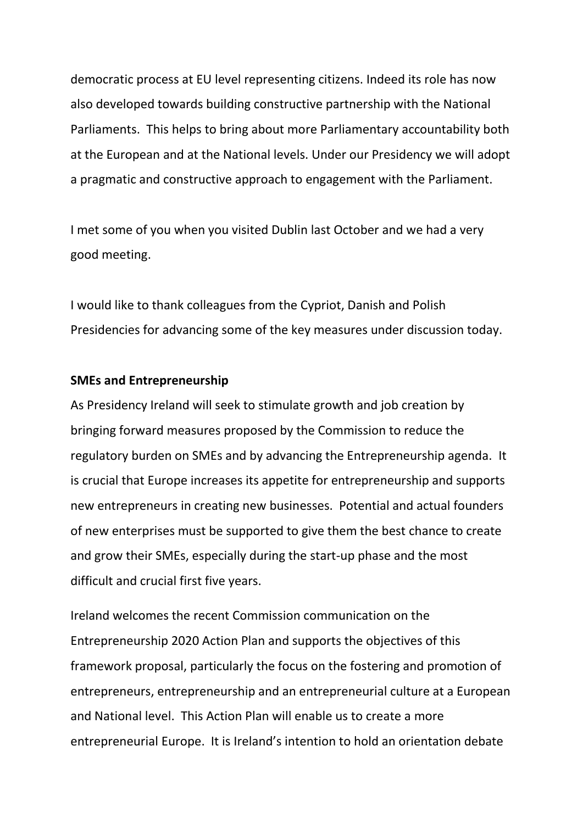democratic process at EU level representing citizens. Indeed its role has now also developed towards building constructive partnership with the National Parliaments. This helps to bring about more Parliamentary accountability both at the European and at the National levels. Under our Presidency we will adopt a pragmatic and constructive approach to engagement with the Parliament.

I met some of you when you visited Dublin last October and we had a very good meeting.

I would like to thank colleagues from the Cypriot, Danish and Polish Presidencies for advancing some of the key measures under discussion today.

## **SMEs and Entrepreneurship**

As Presidency Ireland will seek to stimulate growth and job creation by bringing forward measures proposed by the Commission to reduce the regulatory burden on SMEs and by advancing the Entrepreneurship agenda. It is crucial that Europe increases its appetite for entrepreneurship and supports new entrepreneurs in creating new businesses. Potential and actual founders of new enterprises must be supported to give them the best chance to create and grow their SMEs, especially during the start-up phase and the most difficult and crucial first five years.

Ireland welcomes the recent Commission communication on the Entrepreneurship 2020 Action Plan and supports the objectives of this framework proposal, particularly the focus on the fostering and promotion of entrepreneurs, entrepreneurship and an entrepreneurial culture at a European and National level. This Action Plan will enable us to create a more entrepreneurial Europe. It is Ireland's intention to hold an orientation debate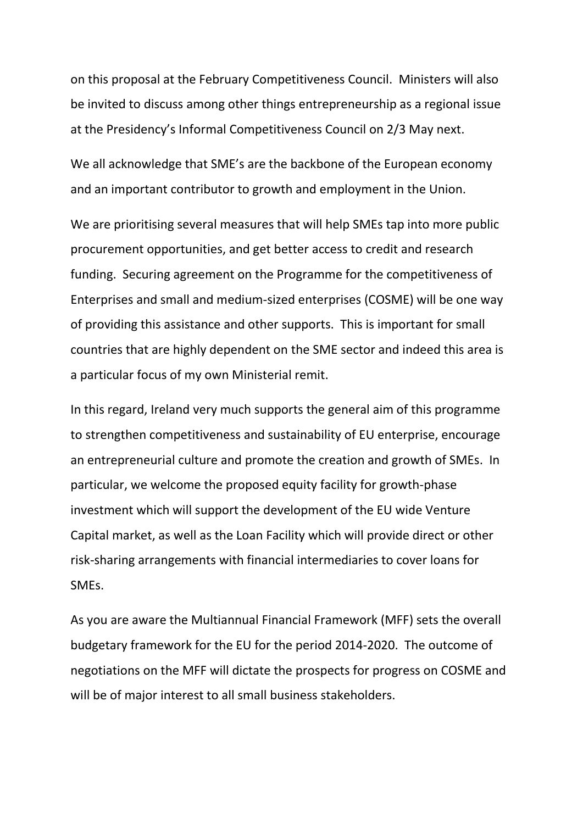on this proposal at the February Competitiveness Council. Ministers will also be invited to discuss among other things entrepreneurship as a regional issue at the Presidency's Informal Competitiveness Council on 2/3 May next.

We all acknowledge that SME's are the backbone of the European economy and an important contributor to growth and employment in the Union.

We are prioritising several measures that will help SMEs tap into more public procurement opportunities, and get better access to credit and research funding. Securing agreement on the Programme for the competitiveness of Enterprises and small and medium-sized enterprises (COSME) will be one way of providing this assistance and other supports. This is important for small countries that are highly dependent on the SME sector and indeed this area is a particular focus of my own Ministerial remit.

In this regard, Ireland very much supports the general aim of this programme to strengthen competitiveness and sustainability of EU enterprise, encourage an entrepreneurial culture and promote the creation and growth of SMEs. In particular, we welcome the proposed equity facility for growth-phase investment which will support the development of the EU wide Venture Capital market, as well as the Loan Facility which will provide direct or other risk-sharing arrangements with financial intermediaries to cover loans for SMEs.

As you are aware the Multiannual Financial Framework (MFF) sets the overall budgetary framework for the EU for the period 2014-2020. The outcome of negotiations on the MFF will dictate the prospects for progress on COSME and will be of major interest to all small business stakeholders.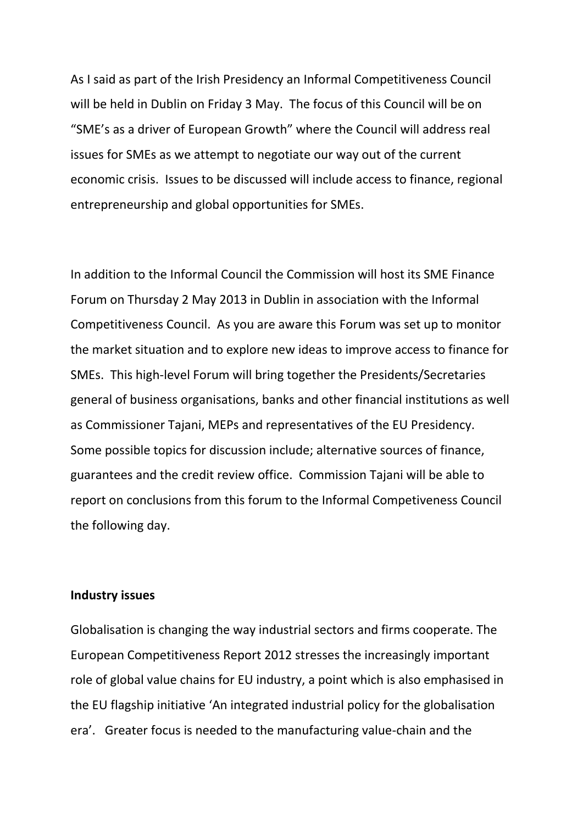As I said as part of the Irish Presidency an Informal Competitiveness Council will be held in Dublin on Friday 3 May. The focus of this Council will be on "SME's as a driver of European Growth" where the Council will address real issues for SMEs as we attempt to negotiate our way out of the current economic crisis. Issues to be discussed will include access to finance, regional entrepreneurship and global opportunities for SMEs.

In addition to the Informal Council the Commission will host its SME Finance Forum on Thursday 2 May 2013 in Dublin in association with the Informal Competitiveness Council. As you are aware this Forum was set up to monitor the market situation and to explore new ideas to improve access to finance for SMEs. This high-level Forum will bring together the Presidents/Secretaries general of business organisations, banks and other financial institutions as well as Commissioner Tajani, MEPs and representatives of the EU Presidency. Some possible topics for discussion include; alternative sources of finance, guarantees and the credit review office. Commission Tajani will be able to report on conclusions from this forum to the Informal Competiveness Council the following day.

## **Industry issues**

Globalisation is changing the way industrial sectors and firms cooperate. The European Competitiveness Report 2012 stresses the increasingly important role of global value chains for EU industry, a point which is also emphasised in the EU flagship initiative 'An integrated industrial policy for the globalisation era'. Greater focus is needed to the manufacturing value-chain and the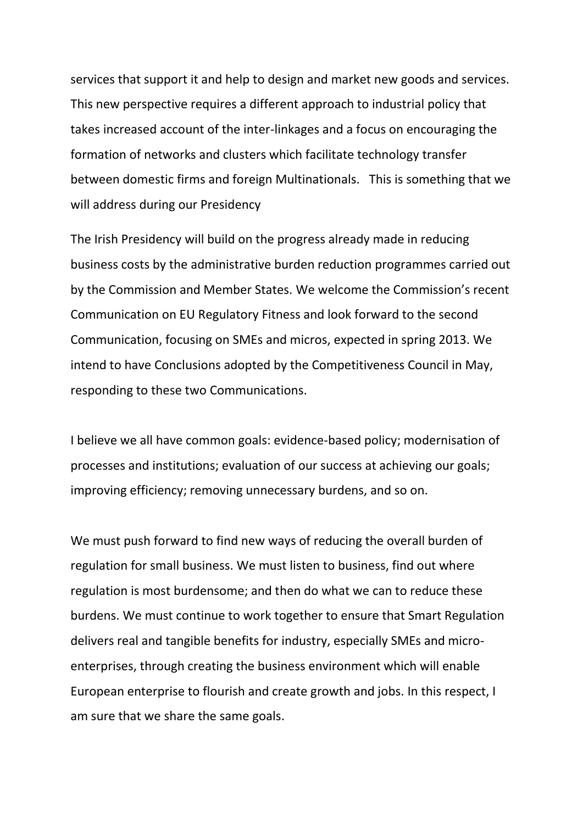services that support it and help to design and market new goods and services. This new perspective requires a different approach to industrial policy that takes increased account of the inter-linkages and a focus on encouraging the formation of networks and clusters which facilitate technology transfer between domestic firms and foreign Multinationals. This is something that we will address during our Presidency

The Irish Presidency will build on the progress already made in reducing business costs by the administrative burden reduction programmes carried out by the Commission and Member States. We welcome the Commission's recent Communication on EU Regulatory Fitness and look forward to the second Communication, focusing on SMEs and micros, expected in spring 2013. We intend to have Conclusions adopted by the Competitiveness Council in May, responding to these two Communications.

I believe we all have common goals: evidence-based policy; modernisation of processes and institutions; evaluation of our success at achieving our goals; improving efficiency; removing unnecessary burdens, and so on.

We must push forward to find new ways of reducing the overall burden of regulation for small business. We must listen to business, find out where regulation is most burdensome; and then do what we can to reduce these burdens. We must continue to work together to ensure that Smart Regulation delivers real and tangible benefits for industry, especially SMEs and microenterprises, through creating the business environment which will enable European enterprise to flourish and create growth and jobs. In this respect, I am sure that we share the same goals.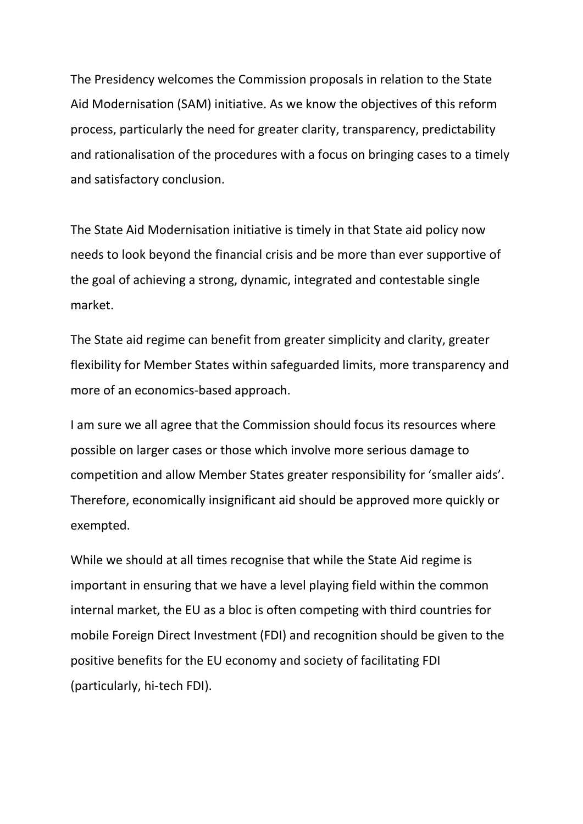The Presidency welcomes the Commission proposals in relation to the State Aid Modernisation (SAM) initiative. As we know the objectives of this reform process, particularly the need for greater clarity, transparency, predictability and rationalisation of the procedures with a focus on bringing cases to a timely and satisfactory conclusion.

The State Aid Modernisation initiative is timely in that State aid policy now needs to look beyond the financial crisis and be more than ever supportive of the goal of achieving a strong, dynamic, integrated and contestable single market.

The State aid regime can benefit from greater simplicity and clarity, greater flexibility for Member States within safeguarded limits, more transparency and more of an economics-based approach.

I am sure we all agree that the Commission should focus its resources where possible on larger cases or those which involve more serious damage to competition and allow Member States greater responsibility for 'smaller aids'. Therefore, economically insignificant aid should be approved more quickly or exempted.

While we should at all times recognise that while the State Aid regime is important in ensuring that we have a level playing field within the common internal market, the EU as a bloc is often competing with third countries for mobile Foreign Direct Investment (FDI) and recognition should be given to the positive benefits for the EU economy and society of facilitating FDI (particularly, hi-tech FDI).